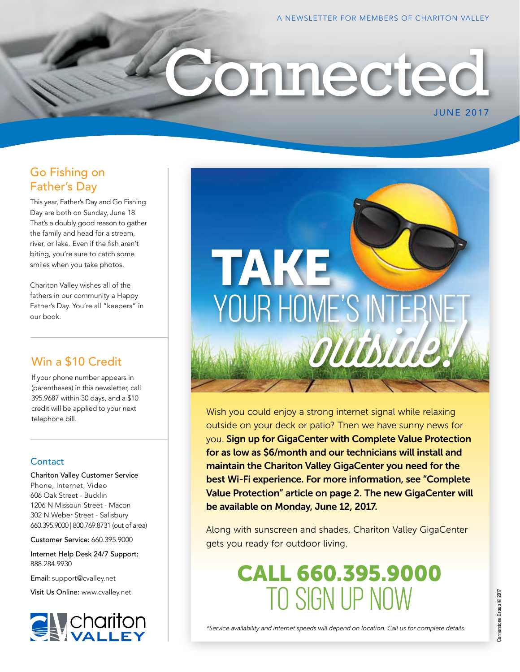JUNE 2017

# onnected

# Go Fishing on Father's Day

This year, Father's Day and Go Fishing Day are both on Sunday, June 18. That's a doubly good reason to gather the family and head for a stream, river, or lake. Even if the fish aren't biting, you're sure to catch some smiles when you take photos.

Chariton Valley wishes all of the fathers in our community a Happy Father's Day. You're all "keepers" in our book.

# Win a \$10 Credit

If your phone number appears in (parentheses) in this newsletter, call 395.9687 within 30 days, and a \$10 credit will be applied to your next telephone bill.

### **Contact**

Chariton Valley Customer Service Phone, Internet, Video 606 Oak Street - Bucklin 1206 N Missouri Street - Macon 302 N Weber Street - Salisbury 660.395.9000 | 800.769.8731 (out of area)

Customer Service: 660.395.9000

Internet Help Desk 24/7 Support: 888.284.9930

Email: support@cvalley.net

Visit Us Online: www.cvalley.net





Wish you could enjoy a strong internet signal while relaxing outside on your deck or patio? Then we have sunny news for you. Sign up for GigaCenter with Complete Value Protection for as low as \$6/month and our technicians will install and maintain the Chariton Valley GigaCenter you need for the best Wi-Fi experience. For more information, see "Complete Value Protection" article on page 2. The new GigaCenter will be available on Monday, June 12, 2017.

Along with sunscreen and shades, Chariton Valley GigaCenter gets you ready for outdoor living.

> CALL 660.395.9000 TO SIGN UP NOW

*\*Service availability and internet speeds will depend on location. Call us for complete details.*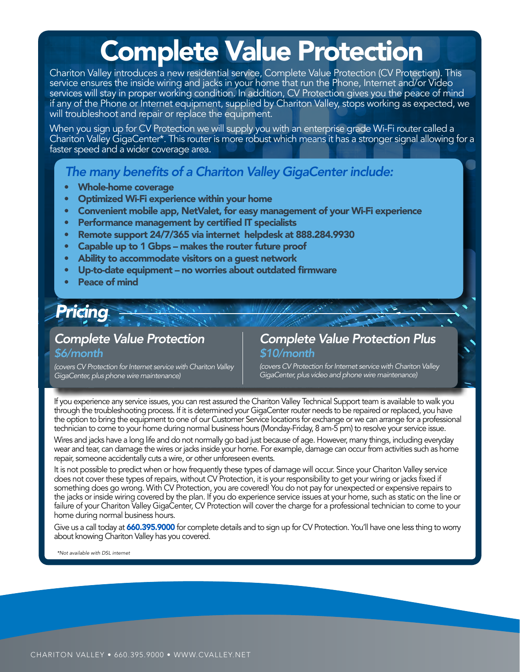# Complete Value Protection

Chariton Valley introduces a new residential service, Complete Value Protection (CV Protection). This service ensures the inside wiring and jacks in your home that run the Phone, Internet and/or Video services will stay in proper working condition. In addition, CV Protection gives you the peace of mind if any of the Phone or Internet equipment, supplied by Chariton Valley, stops working as expected, we will troubleshoot and repair or replace the equipment.

When you sign up for CV Protection we will supply you with an enterprise grade Wi-Fi router called a Chariton Valley GigaCenter\*. This router is more robust which means it has a stronger signal allowing for a faster speed and a wider coverage area.

# *The many benefits of a Chariton Valley GigaCenter include:*

- Whole-home coverage
- Optimized Wi-Fi experience within your home
- Convenient mobile app, NetValet, for easy management of your Wi-Fi experience
- Performance management by certified IT specialists
- Remote support 24/7/365 via internet helpdesk at 888.284.9930
- Capable up to 1 Gbps makes the router future proof
- Ability to accommodate visitors on a guest network
- Up-to-date equipment no worries about outdated firmware
- Peace of mind

# *Pricing*

## *Complete Value Protection \$6/month*

## *Complete Value Protection Plus \$10/month*

*(covers CV Protection for Internet service with Chariton Valley GigaCenter, plus phone wire maintenance)*

*(covers CV Protection for Internet service with Chariton Valley GigaCenter, plus video and phone wire maintenance)*

If you experience any service issues, you can rest assured the Chariton Valley Technical Support team is available to walk you through the troubleshooting process. If it is determined your GigaCenter router needs to be repaired or replaced, you have the option to bring the equipment to one of our Customer Service locations for exchange or we can arrange for a professional technician to come to your home during normal business hours (Monday-Friday, 8 am-5 pm) to resolve your service issue.

Wires and jacks have a long life and do not normally go bad just because of age. However, many things, including everyday wear and tear, can damage the wires or jacks inside your home. For example, damage can occur from activities such as home repair, someone accidentally cuts a wire, or other unforeseen events.

It is not possible to predict when or how frequently these types of damage will occur. Since your Chariton Valley service does not cover these types of repairs, without CV Protection, it is your responsibility to get your wiring or jacks fixed if something does go wrong. With CV Protection, you are covered! You do not pay for unexpected or expensive repairs to the jacks or inside wiring covered by the plan. If you do experience service issues at your home, such as static on the line or failure of your Chariton Valley GigaCenter, CV Protection will cover the charge for a professional technician to come to your home during normal business hours.

Give us a call today at 660.395.9000 for complete details and to sign up for CV Protection. You'll have one less thing to worry about knowing Chariton Valley has you covered.

*\*Not available with DSL internet*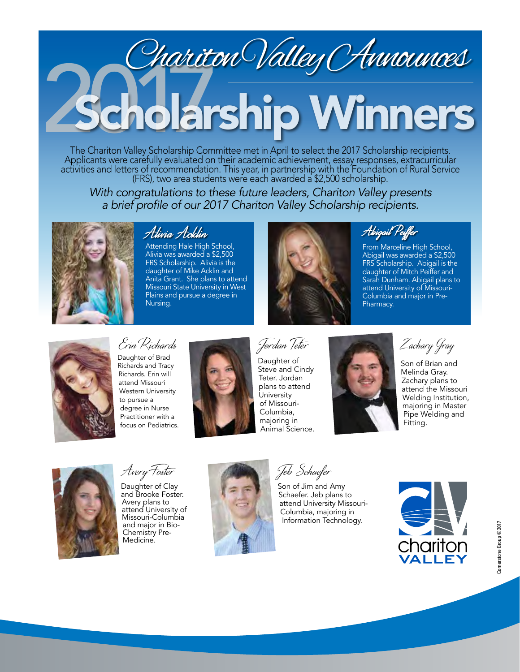# blarship Winners Chariton Valley Announces

The Chariton Valley Scholarship Committee met in April to select the 2017 Scholarship recipients. Applicants were carefully evaluated on their academic achievement, essay responses, extracurricular activities and letters of recommendation. This year, in partnership with the Foundation of Rural Service (FRS), two area students were each awarded a \$2,500 scholarship.

*With congratulations to these future leaders, Chariton Valley presents*  a brief profile of our 2017 Chariton Valley Scholarship recipients.



# Alivia Acklin

Attending Hale High School, Alivia was awarded a \$2,500 FRS Scholarship. Alivia is the daughter of Mike Acklin and Anita Grant. She plans to attend Missouri State University in West Plains and pursue a degree in Nursing.



Abigail Peiffer

From Marceline High School, Abigail was awarded a \$2,500 FRS Scholarship. Abigail is the daughter of Mitch Peiffer and Sarah Dunham. Abigail plans to attend University of Missouri-Columbia and major in Pre-Pharmacy.



Erin Richards

Daughter of Brad Richards and Tracy Richards. Erin will attend Missouri Western University to pursue a degree in Nurse Practitioner with a focus on Pediatrics.



Jordan Teter Daughter of Steve and Cindy Teter. Jordan plans to attend **University** of Missouri-Columbia, majoring in Animal Science.



Zachary Gray

Son of Brian and Melinda Gray. Zachary plans to attend the Missouri Welding Institution, majoring in Master Pipe Welding and Fitting.



Avery Foster

Daughter of Clay and Brooke Foster. Avery plans to attend University of Missouri-Columbia and major in Bio-Chemistry Pre-Medicine.



Jeb Schaefer

Son of Jim and Amy Schaefer. Jeb plans to attend University Missouri-Columbia, majoring in Information Technology.